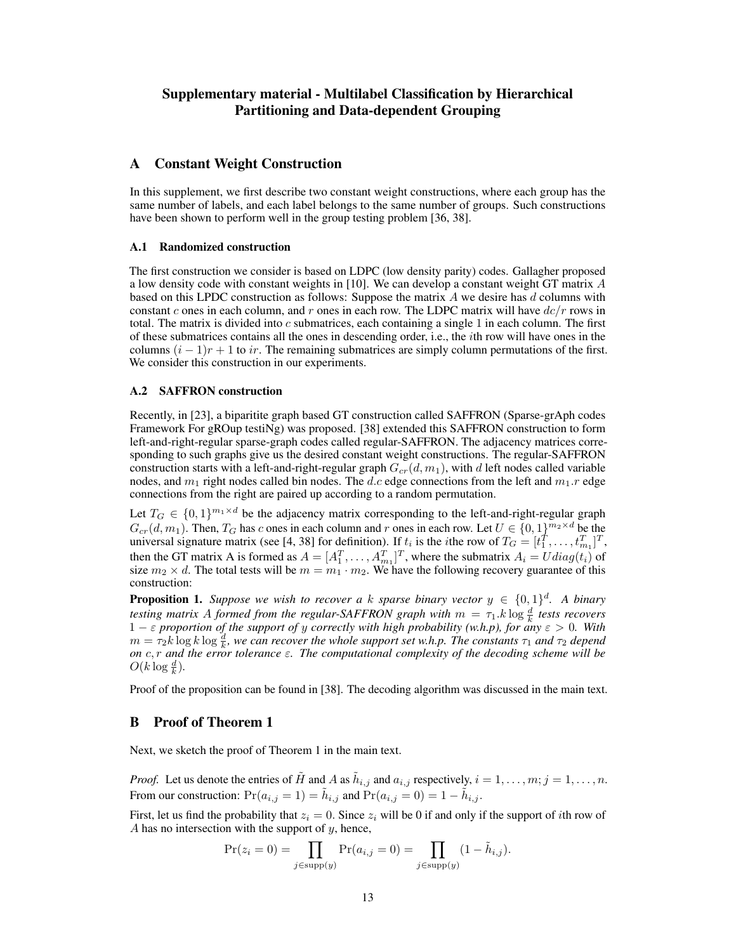# Supplementary material - Multilabel Classification by Hierarchical Partitioning and Data-dependent Grouping

### A Constant Weight Construction

In this supplement, we first describe two constant weight constructions, where each group has the same number of labels, and each label belongs to the same number of groups. Such constructions have been shown to perform well in the group testing problem [36, 38].

#### A.1 Randomized construction

The first construction we consider is based on LDPC (low density parity) codes. Gallagher proposed a low density code with constant weights in [10]. We can develop a constant weight GT matrix A based on this LPDC construction as follows: Suppose the matrix  $A$  we desire has  $d$  columns with constant c ones in each column, and r ones in each row. The LDPC matrix will have  $dc/r$  rows in total. The matrix is divided into  $c$  submatrices, each containing a single 1 in each column. The first of these submatrices contains all the ones in descending order, i.e., the ith row will have ones in the columns  $(i - 1)r + 1$  to ir. The remaining submatrices are simply column permutations of the first. We consider this construction in our experiments.

#### A.2 SAFFRON construction

Recently, in [23], a biparitite graph based GT construction called SAFFRON (Sparse-grAph codes Framework For gROup testiNg) was proposed. [38] extended this SAFFRON construction to form left-and-right-regular sparse-graph codes called regular-SAFFRON. The adjacency matrices corresponding to such graphs give us the desired constant weight constructions. The regular-SAFFRON construction starts with a left-and-right-regular graph  $G_{cr}(d, m_1)$ , with d left nodes called variable nodes, and  $m_1$  right nodes called bin nodes. The d.c edge connections from the left and  $m_1$ .r edge connections from the right are paired up according to a random permutation.

Let  $T_G \in \{0,1\}^{m_1 \times d}$  be the adjacency matrix corresponding to the left-and-right-regular graph  $G_{cr}(d, m_1)$ . Then,  $T_G$  has c ones in each column and r ones in each row. Let  $U \in \{0, 1\}^{m_2 \times d}$  be the universal signature matrix (see [4, 38] for definition). If  $t_i$  is the *i*the row of  $T_G = [t_1^T, \ldots, t_{m_1}^T]^T$ , then the GT matrix A is formed as  $A = [A_1^T, \dots, A_{m_1}^T]^T$ , where the submatrix  $A_i = U diag(t_i)$  of size  $m_2 \times d$ . The total tests will be  $m = m_1 \cdot m_2$ . We have the following recovery guarantee of this construction:

**Proposition 1.** Suppose we wish to recover a k sparse binary vector  $y \in \{0,1\}^d$ . A binary *testing matrix A formed from the regular-SAFFRON graph with*  $m = \tau_1 \cdot k \log \frac{d}{k}$  *tests recovers* 1 − ε *proportion of the support of* y *correctly with high probability (w.h.p), for any* ε > 0*. With*  $m = \tau_2 k \log k \log \frac{d}{k}$ , we can recover the whole support set w.h.p. The constants  $\tau_1$  and  $\tau_2$  depend *on* c, r *and the error tolerance* ε*. The computational complexity of the decoding scheme will be*  $O(k \log \frac{d}{k}).$ 

Proof of the proposition can be found in [38]. The decoding algorithm was discussed in the main text.

### B Proof of Theorem 1

Next, we sketch the proof of Theorem 1 in the main text.

*Proof.* Let us denote the entries of  $\tilde{H}$  and A as  $\tilde{h}_{i,j}$  and  $a_{i,j}$  respectively,  $i = 1, \ldots, m; j = 1, \ldots, n$ . From our construction:  $Pr(a_{i,j} = 1) = \tilde{h}_{i,j}$  and  $Pr(a_{i,j} = 0) = 1 - \tilde{h}_{i,j}$ .

First, let us find the probability that  $z_i = 0$ . Since  $z_i$  will be 0 if and only if the support of *i*th row of A has no intersection with the support of  $y$ , hence,

$$
\Pr(z_i = 0) = \prod_{j \in \text{supp}(y)} \Pr(a_{i,j} = 0) = \prod_{j \in \text{supp}(y)} (1 - \tilde{h}_{i,j}).
$$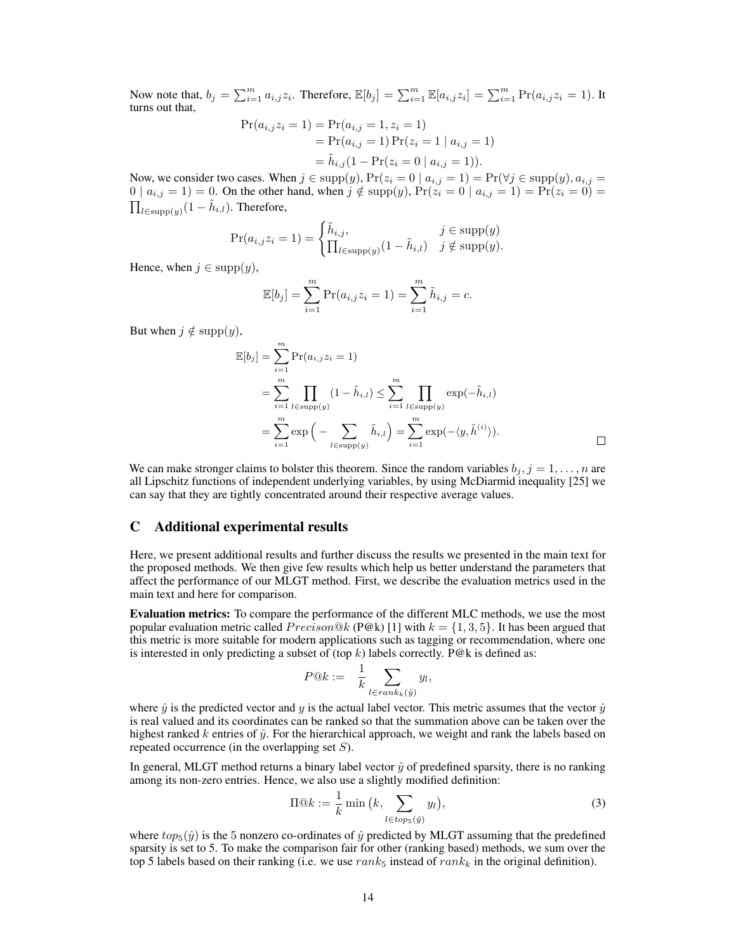Now note that,  $b_j = \sum_{i=1}^m a_{i,j} z_i$ . Therefore,  $\mathbb{E}[b_j] = \sum_{i=1}^m \mathbb{E}[a_{i,j} z_i] = \sum_{i=1}^m \Pr(a_{i,j} z_i = 1)$ . It turns out that,

$$
Pr(a_{i,j}z_i = 1) = Pr(a_{i,j} = 1, z_i = 1)
$$
  
= 
$$
Pr(a_{i,j} = 1) Pr(z_i = 1 | a_{i,j} = 1)
$$
  
= 
$$
\tilde{h}_{i,j}(1 - Pr(z_i = 0 | a_{i,j} = 1)).
$$

Now, we consider two cases. When  $j \in \text{supp}(y)$ ,  $\Pr(z_i = 0 \mid a_{i,j} = 1) = \Pr(\forall j \in \text{supp}(y), a_{i,j} = 1)$  $0 | a_{i,j} = 1$  = 0. On the other hand, when  $j \notin \text{supp}(y)$ ,  $\Pr(z_i = 0 | a_{i,j} = 1) = \Pr(z_i = 0)$  =  $\prod_{l \in \text{supp}(y)} (1 - \tilde{h}_{i,l}).$  Therefore,

$$
\Pr(a_{i,j}z_i = 1) = \begin{cases} \tilde{h}_{i,j}, & j \in \text{supp}(y) \\ \prod_{l \in \text{supp}(y)} (1 - \tilde{h}_{i,l}) & j \notin \text{supp}(y). \end{cases}
$$

Hence, when  $j \in \text{supp}(y)$ ,

$$
\mathbb{E}[b_j] = \sum_{i=1}^m \Pr(a_{i,j} z_i = 1) = \sum_{i=1}^m \tilde{h}_{i,j} = c.
$$

But when  $j \notin \text{supp}(y)$ ,

$$
\mathbb{E}[b_j] = \sum_{i=1}^{m} \Pr(a_{i,j} z_i = 1) \n= \sum_{i=1}^{m} \prod_{l \in \text{supp}(y)} (1 - \tilde{h}_{i,l}) \le \sum_{i=1}^{m} \prod_{l \in \text{supp}(y)} \exp(-\tilde{h}_{i,l}) \n= \sum_{i=1}^{m} \exp\left(-\sum_{l \in \text{supp}(y)} \tilde{h}_{i,l}\right) = \sum_{i=1}^{m} \exp(-\langle y, \tilde{h}^{(i)} \rangle).
$$

We can make stronger claims to bolster this theorem. Since the random variables  $b_j, j = 1, \ldots, n$  are all Lipschitz functions of independent underlying variables, by using McDiarmid inequality [25] we can say that they are tightly concentrated around their respective average values.

### C Additional experimental results

Here, we present additional results and further discuss the results we presented in the main text for the proposed methods. We then give few results which help us better understand the parameters that affect the performance of our MLGT method. First, we describe the evaluation metrics used in the main text and here for comparison.

Evaluation metrics: To compare the performance of the different MLC methods, we use the most popular evaluation metric called  $Precision@k$  (P@k) [1] with  $k = \{1, 3, 5\}$ . It has been argued that this metric is more suitable for modern applications such as tagging or recommendation, where one is interested in only predicting a subset of (top  $k$ ) labels correctly. P@k is defined as:

$$
P@k := \frac{1}{k} \sum_{l \in rank_k(\hat{y})} y_l,
$$

where  $\hat{y}$  is the predicted vector and y is the actual label vector. This metric assumes that the vector  $\hat{y}$ is real valued and its coordinates can be ranked so that the summation above can be taken over the highest ranked  $k$  entries of  $\hat{y}$ . For the hierarchical approach, we weight and rank the labels based on repeated occurrence (in the overlapping set  $S$ ).

In general, MLGT method returns a binary label vector  $\hat{y}$  of predefined sparsity, there is no ranking among its non-zero entries. Hence, we also use a slightly modified definition:

<span id="page-1-0"></span>
$$
\Pi @k := \frac{1}{k} \min\left(k, \sum_{l \in \text{tops}(\hat{y})} y_l\right),\tag{3}
$$

where  $top_5(\hat{y})$  is the 5 nonzero co-ordinates of  $\hat{y}$  predicted by MLGT assuming that the predefined sparsity is set to 5. To make the comparison fair for other (ranking based) methods, we sum over the top 5 labels based on their ranking (i.e. we use  $rank_5$  instead of  $rank_k$  in the original definition).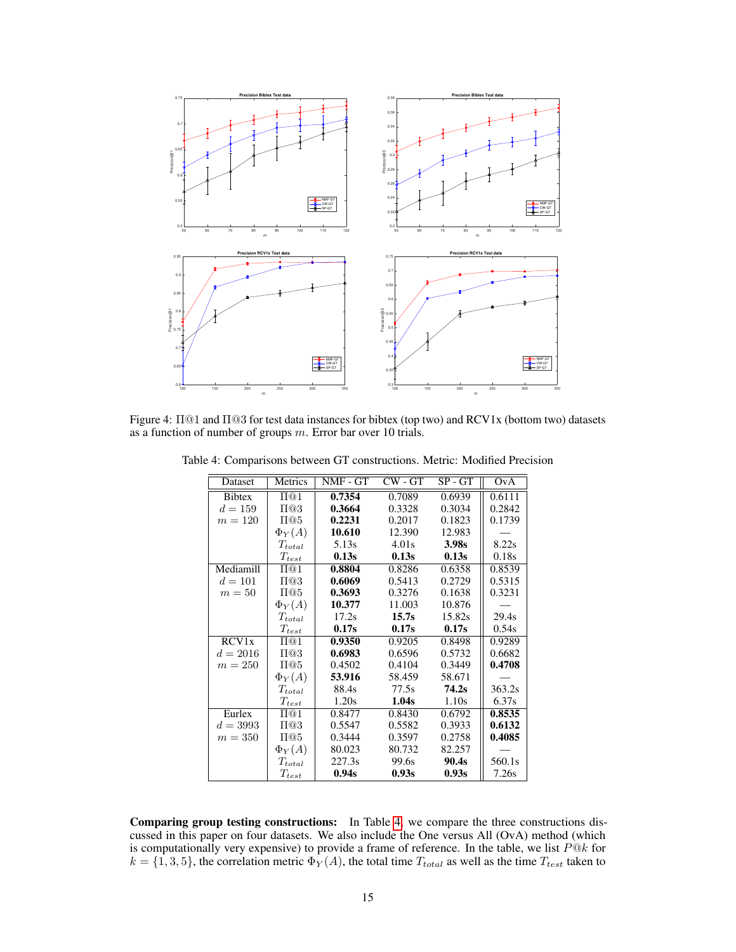

<span id="page-2-0"></span>Figure 4: Π@1 and Π@3 for test data instances for bibtex (top two) and RCV1x (bottom two) datasets as a function of number of groups m. Error bar over 10 trials.

<span id="page-2-1"></span>

| Dataset       | Metrics              | NMF - GT | $CW - GT$ | $SP - GT$ | OvA    |
|---------------|----------------------|----------|-----------|-----------|--------|
| <b>Bibtex</b> | $\Pi@1$              | 0.7354   | 0.7089    | 0.6939    | 0.6111 |
| $d = 159$     | $\Pi@3$              | 0.3664   | 0.3328    | 0.3034    | 0.2842 |
| $m = 120$     | $\Pi@5$              | 0.2231   | 0.2017    | 0.1823    | 0.1739 |
|               | $\Phi_Y(A)$          | 10.610   | 12.390    | 12.983    |        |
|               | $T_{total}$          | 5.13s    | 4.01s     | 3.98s     | 8.22s  |
|               | $T_{test}$           | 0.13s    | 0.13s     | 0.13s     | 0.18s  |
| Mediamill     | $\Pi@1$              | 0.8804   | 0.8286    | 0.6358    | 0.8539 |
| $d = 101$     | $\Pi@3$              | 0.6069   | 0.5413    | 0.2729    | 0.5315 |
| $m=50$        | $\Pi@5$              | 0.3693   | 0.3276    | 0.1638    | 0.3231 |
|               | $\Phi_Y(A)$          | 10.377   | 11.003    | 10.876    |        |
|               | $T_{total}$          | 17.2s    | 15.7s     | 15.82s    | 29.4s  |
|               | $\mathcal{T}_{test}$ | 0.17s    | 0.17s     | 0.17s     | 0.54s  |
| RCV1x         | $\Pi@1$              | 0.9350   | 0.9205    | 0.8498    | 0.9289 |
| $d = 2016$    | $\Pi@3$              | 0.6983   | 0.6596    | 0.5732    | 0.6682 |
| $m = 250$     | $\Pi@5$              | 0.4502   | 0.4104    | 0.3449    | 0.4708 |
|               | $\Phi_Y(A)$          | 53.916   | 58.459    | 58.671    |        |
|               | $T_{total}$          | 88.4s    | 77.5s     | 74.2s     | 363.2s |
|               | $T_{test}$           | 1.20s    | 1.04s     | 1.10s     | 6.37s  |
| Eurlex        | $\Pi@1$              | 0.8477   | 0.8430    | 0.6792    | 0.8535 |
| $d = 3993$    | $\Pi@3$              | 0.5547   | 0.5582    | 0.3933    | 0.6132 |
| $m=350$       | $\Pi@5$              | 0.3444   | 0.3597    | 0.2758    | 0.4085 |
|               | $\Phi_Y(A)$          | 80.023   | 80.732    | 82.257    |        |
|               | $T_{total}$          | 227.3s   | 99.6s     | 90.4s     | 560.1s |
|               | $T_{test}$           | 0.94s    | 0.93s     | 0.93s     | 7.26s  |

Table 4: Comparisons between GT constructions. Metric: Modified Precision

Comparing group testing constructions: In Table [4,](#page-2-0) we compare the three constructions discussed in this paper on four datasets. We also include the One versus All (OvA) method (which is computationally very expensive) to provide a frame of reference. In the table, we list  $P@k$  for  $k = \{1, 3, 5\}$ , the correlation metric  $\Phi_Y(A)$ , the total time  $T_{total}$  as well as the time  $T_{test}$  taken to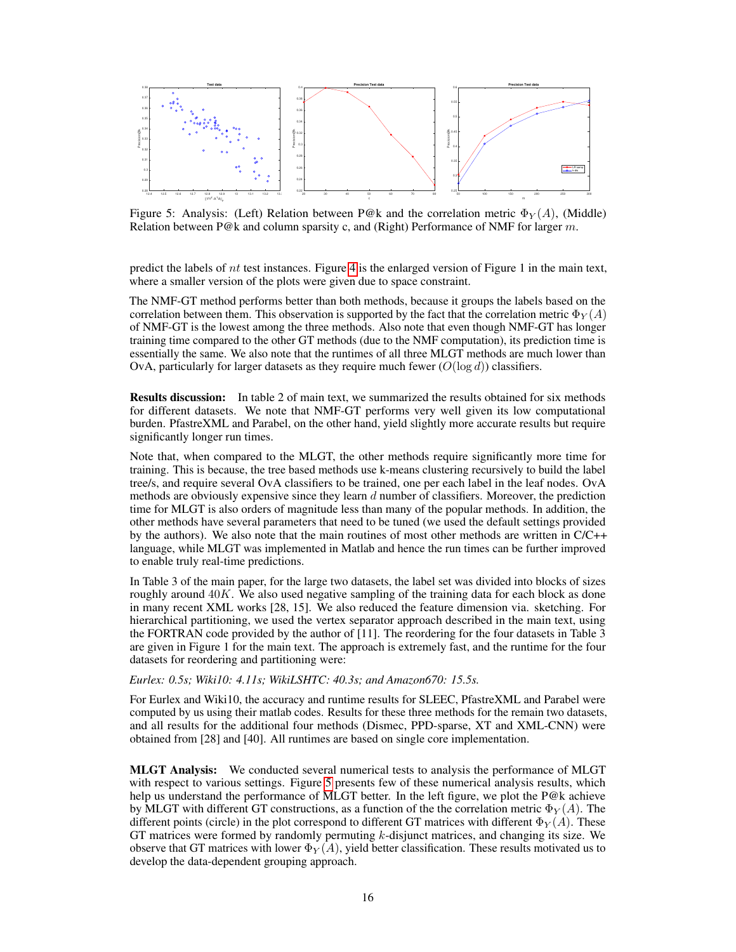

<span id="page-3-0"></span>Figure 5: Analysis: (Left) Relation between P@k and the correlation metric  $\Phi_Y(A)$ , (Middle) Relation between P@k and column sparsity c, and (Right) Performance of NMF for larger  $m$ .

predict the labels of nt test instances. Figure [4](#page-2-1) is the enlarged version of Figure 1 in the main text, where a smaller version of the plots were given due to space constraint.

The NMF-GT method performs better than both methods, because it groups the labels based on the correlation between them. This observation is supported by the fact that the correlation metric  $\Phi_Y(A)$ of NMF-GT is the lowest among the three methods. Also note that even though NMF-GT has longer training time compared to the other GT methods (due to the NMF computation), its prediction time is essentially the same. We also note that the runtimes of all three MLGT methods are much lower than OvA, particularly for larger datasets as they require much fewer  $(O(\log d))$  classifiers.

Results discussion: In table 2 of main text, we summarized the results obtained for six methods for different datasets. We note that NMF-GT performs very well given its low computational burden. PfastreXML and Parabel, on the other hand, yield slightly more accurate results but require significantly longer run times.

Note that, when compared to the MLGT, the other methods require significantly more time for training. This is because, the tree based methods use k-means clustering recursively to build the label tree/s, and require several OvA classifiers to be trained, one per each label in the leaf nodes. OvA methods are obviously expensive since they learn  $d$  number of classifiers. Moreover, the prediction time for MLGT is also orders of magnitude less than many of the popular methods. In addition, the other methods have several parameters that need to be tuned (we used the default settings provided by the authors). We also note that the main routines of most other methods are written in C/C++ language, while MLGT was implemented in Matlab and hence the run times can be further improved to enable truly real-time predictions.

In Table 3 of the main paper, for the large two datasets, the label set was divided into blocks of sizes roughly around  $40K$ . We also used negative sampling of the training data for each block as done in many recent XML works [28, 15]. We also reduced the feature dimension via. sketching. For hierarchical partitioning, we used the vertex separator approach described in the main text, using the FORTRAN code provided by the author of [11]. The reordering for the four datasets in Table 3 are given in Figure 1 for the main text. The approach is extremely fast, and the runtime for the four datasets for reordering and partitioning were:

*Eurlex: 0.5s; Wiki10: 4.11s; WikiLSHTC: 40.3s; and Amazon670: 15.5s.*

For Eurlex and Wiki10, the accuracy and runtime results for SLEEC, PfastreXML and Parabel were computed by us using their matlab codes. Results for these three methods for the remain two datasets, and all results for the additional four methods (Dismec, PPD-sparse, XT and XML-CNN) were obtained from [28] and [40]. All runtimes are based on single core implementation.

MLGT Analysis: We conducted several numerical tests to analysis the performance of MLGT with respect to various settings. Figure [5](#page-3-0) presents few of these numerical analysis results, which help us understand the performance of MLGT better. In the left figure, we plot the P@k achieve by MLGT with different GT constructions, as a function of the the correlation metric  $\Phi_V(A)$ . The different points (circle) in the plot correspond to different GT matrices with different  $\Phi_V(A)$ . These GT matrices were formed by randomly permuting  $k$ -disjunct matrices, and changing its size. We observe that GT matrices with lower  $\Phi_Y(A)$ , yield better classification. These results motivated us to develop the data-dependent grouping approach.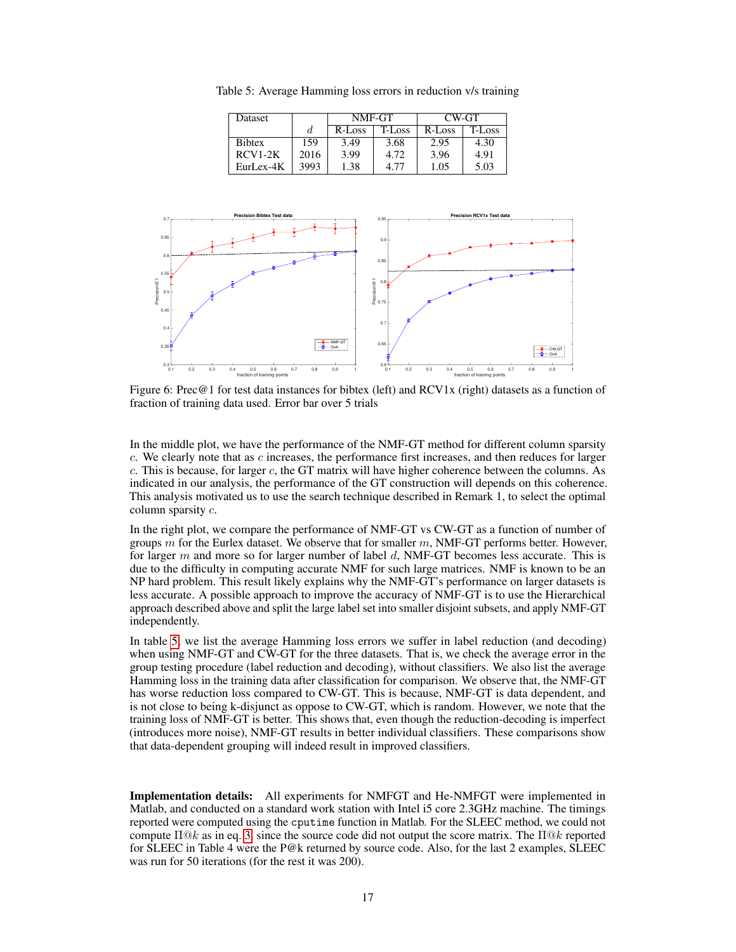<span id="page-4-0"></span>Table 5: Average Hamming loss errors in reduction v/s training

| Dataset       |      | NMF-GT |        | CW-GT  |        |
|---------------|------|--------|--------|--------|--------|
|               | d.   | R-Loss | T-Loss | R-Loss | T-Loss |
| <b>Bibtex</b> | 159  | 3.49   | 3.68   | 2.95   | 4.30   |
| $RCV1-2K$     | 2016 | 3.99   | 4.72   | 3.96   | 4.91   |
| $Eurl ex-4K$  | 3993 | 1.38   | 4.77   | 1.05   | 5.03   |



<span id="page-4-1"></span>Figure 6: Prec@1 for test data instances for bibtex (left) and RCV1x (right) datasets as a function of fraction of training data used. Error bar over 5 trials

In the middle plot, we have the performance of the NMF-GT method for different column sparsity  $c$ . We clearly note that as  $c$  increases, the performance first increases, and then reduces for larger c. This is because, for larger c, the GT matrix will have higher coherence between the columns. As indicated in our analysis, the performance of the GT construction will depends on this coherence. This analysis motivated us to use the search technique described in Remark 1, to select the optimal column sparsity c.

In the right plot, we compare the performance of NMF-GT vs CW-GT as a function of number of groups  $m$  for the Eurlex dataset. We observe that for smaller  $m$ , NMF-GT performs better. However, for larger  $m$  and more so for larger number of label  $d$ , NMF-GT becomes less accurate. This is due to the difficulty in computing accurate NMF for such large matrices. NMF is known to be an NP hard problem. This result likely explains why the NMF-GT's performance on larger datasets is less accurate. A possible approach to improve the accuracy of NMF-GT is to use the Hierarchical approach described above and split the large label set into smaller disjoint subsets, and apply NMF-GT independently.

In table [5,](#page-4-0) we list the average Hamming loss errors we suffer in label reduction (and decoding) when using NMF-GT and CW-GT for the three datasets. That is, we check the average error in the group testing procedure (label reduction and decoding), without classifiers. We also list the average Hamming loss in the training data after classification for comparison. We observe that, the NMF-GT has worse reduction loss compared to CW-GT. This is because, NMF-GT is data dependent, and is not close to being k-disjunct as oppose to CW-GT, which is random. However, we note that the training loss of NMF-GT is better. This shows that, even though the reduction-decoding is imperfect (introduces more noise), NMF-GT results in better individual classifiers. These comparisons show that data-dependent grouping will indeed result in improved classifiers.

Implementation details: All experiments for NMFGT and He-NMFGT were implemented in Matlab, and conducted on a standard work station with Intel i5 core 2.3GHz machine. The timings reported were computed using the cputime function in Matlab. For the SLEEC method, we could not compute  $\Pi \mathbb{Q} k$  as in eq. [3,](#page-1-0) since the source code did not output the score matrix. The  $\Pi \mathbb{Q} k$  reported for SLEEC in Table 4 were the P@k returned by source code. Also, for the last 2 examples, SLEEC was run for 50 iterations (for the rest it was 200).